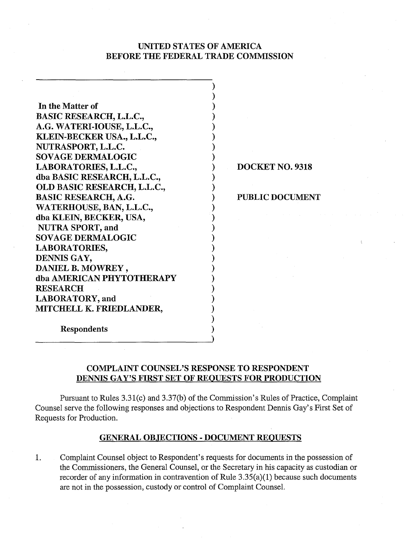# UNITED STATES OF AMERICA BEFORE THE FEDERAL TRADE COMMISSION

 $\overline{a}$  $)$  $)$  $\mathbf{)}$  $)$  $)$  $\mathbf{)}$  $\mathcal{L}$  $)$ 

> $\sum_{i=1}^{n}$  $)$

 $)$  $)$ )  $)$  $)$  $)$  $)$  $\mathbf{)}$  $)$  $\mathbf{)}$ 1  $\mathbf{)}$  $)$ 

In the Matter of BASIC RESEARCH, L.L.C., A.G. WATERI-IOUSE, L.L.C., KLEIN-BECKER USA., L.L.C., NUTRASPORT, L.L.C. SOVAGE DERMALOGIC LABORATORIES, L.L.C., dba BASIC RESEARCH, L.L.C., OLD BASIC RESEARCH, L.L.C., BASIC RESEARCH, A.G. WATERHOUSE, BAN, L.L.C., dba KLEIN, BECKER, USA, NUTRA SPORT, and SOVAGE DERMALOGIC LABORATORIES, DENNIS GAY, DANIEL B. MOWREY , dba AMERICAN PHYTOTHERAPY **RESEARCH** LABORATORY, and MITCHELL K. FRIEDLANDER,

1 DOCKET NO. 9318

1 PUBLIC DOCUMENT

Respondents

# COMPLAINT COUNSEL'S RESPONSE TO RESPONDENT DENNIS GAY'S FIRST SET OF REQUESTS FOR PRODUCTION

Pursuant to Rules 3.31(c) and 3.37(b) of the Commission's Rules of Practice, Complaint Counsel serve the following responses and objections to Respondent Dennis Gay's First Set of Requests for Production.

# GENERAL OBJECTIONS - DOCUMENT REOUESTS

1. Complaint Counsel object to Respondent's requests for documents in the possession of the Commissioners, the General Counsel, or the Secretary in his capacity as custodian or recorder of any information in contravention of Rule  $3.35(a)(1)$  because such documents are not in the possession, custody or control of Complaint Counsel.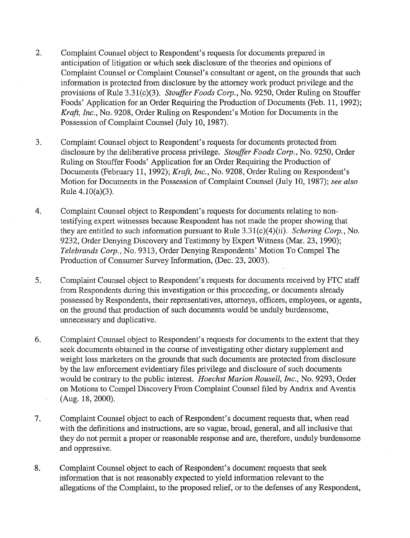- 2. Complaint Counsel object to Respondent's requests for documents prepared in anticipation of litigation or which seek disclosure of the theories and opinions of Complaint Counsel or Complaint Counsel's consultant or agent, on the grounds that such information is protected from disclosure by the attorney work product privilege and the provisions of Rule 3.31(c)(3). Stouffer Foods Corp., No. 9250, Order Ruling on Stouffer Foods' Application for an Order Requiring the Production of Documents (Feb. 11, 1992); Kraft, Inc., No. 9208, Order Ruling on Respondent's Motion for Documents in the Possession of Complaint Counsel (July 10, 1987).
- $3.$ Complaint Counsel object to Respondent's requests for documents protected from disclosure by the deliberative process privilege. Stouffer Foods Corp., No. 9250, Order Ruling on Stouffer Foods' Application for an Order Requiring the Production of Documents (February 11, 1992); Kraft, Inc., No. 9208, Order Ruling on Respondent's Motion for Documents in the Possession of Complaint Counsel (July 10, 1987); see also Rule  $4.10(a)(3)$ .
- Complaint Counsel object to Respondent's requests for documents relating to non- $\overline{4}$ . testifying expert witnesses because Respondent has not made the proper showing that they are entitled to such information pursuant to Rule  $3.31(c)(4)(ii)$ . Schering Corp., No. 9232, Order Denying Discovery and Testimony by Expert Witness (Mar. 23, 1990); Telebrands Corp., No. 9313, Order Denying Respondents' Motion To Compel The Production of Consumer Survey Information, (Dec. 23, 2003).
- $5.$ Complaint Counsel object to Respondent's requests for documents received by FTC staff from Respondents during this investigation or this proceeding, or documents already possessed by Respondents, their representatives, attorneys, officers, employees, or agents, on the ground that production of such documents would be unduly burdensome, unnecessary and duplicative.
- 6. Complaint Counsel object to Respondent's requests for documents to the extent that they seek documents obtained in the course of investigating other dietary supplement and weight loss marketers on the grounds that such documents are protected from disclosure by the law enforcement evidentiary files privilege and disclosure of such documents would be contrary to the public interest. Hoechst Marion Rousell, Inc., No. 9293, Order on Motions to Compel Discovery From Complaint Counsel filed by Andrix and Aventis (Aug. 18,2000).
- 7. Complaint Counsel object to each of Respondent's document requests that, when read with the definitions and instructions, are so vague, broad, general, and all inclusive that they do not permit a proper or reasonable response and are, therefore, unduly burdensome and oppressive.
- Complaint Counsel object to each of Respondent's document requests that seek 8. information that is not reasonably expected to yield information relevant to the allegations of the Complaint, to the proposed relief, or to the defenses of any Respondent,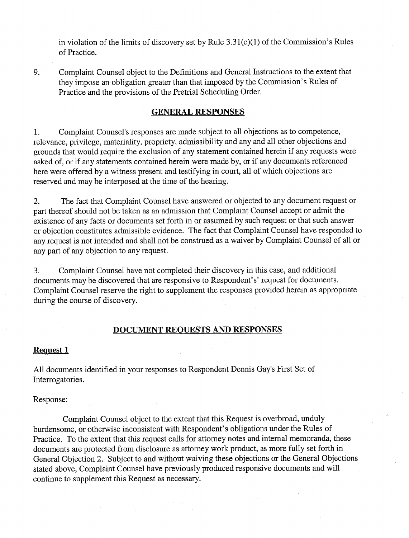in violation of the limits of discovery set by Rule  $3.31(c)(1)$  of the Commission's Rules of Practice.

9. Complaint Counsel object to the Definitions and General Instructions to the extent that they impose an obligation greater than that imposed by the Commission's Rules of Practice and the provisions of the Pretrial Scheduling Order.

# **GENERAL RESPONSES**

1. Complaint Counsel's responses are made subject to all objections as to competence, relevance, privilege, materiality, propriety, admissibility and any and all other objections and grounds that would require the exclusion of any statement contained herein if any requests were asked of, or if any statements contained herein were made by, or if any documents referenced here were offered by a witness present and testifying in court, all of which objections are reserved and may be interposed at the time of the hearing.

2. The fact that Complaint Counsel have answered or objected to any document request or part thereof should not be taken as an admission that Complaint Counsel accept or admit the existence of any facts or documents set forth in or assumed by such request or that such answer or objection constitutes admissible evidence. The fact that Complaint Counsel have responded to any request is not intended and shall not be construed as a waiver by Complaint Counsel of all or any part of any objection to any request.

3. Complaint Counsel have not completed their discovery in ths case, and additional documents may be discovered that are responsive to Respondent's' request for documents. Complaint Counsel reserve the right to supplement the responses provided herein as appropriate during the course of discovery.

# **DOCUMENT REOUESTS AND RESPONSES**

# **Request 1**

All documents identified in your responses to Respondent Dennis Gay's First Set of Interrogatories.

Response:

Complaint Counsel object to the extent that this Request is overbroad, unduly burdensome, or otherwise inconsistent with Respondent's obligations under the Rules of Practice. To the extent that this request calls for attorney notes and internal memoranda, these documents are protected from disclosure as attorney work product, as more fully set forth in General Objection 2. Subject to and without waiving these objections or the General Objections stated above, Complaint Counsel have previously produced responsive documents and will continue to supplement this Request as necessary.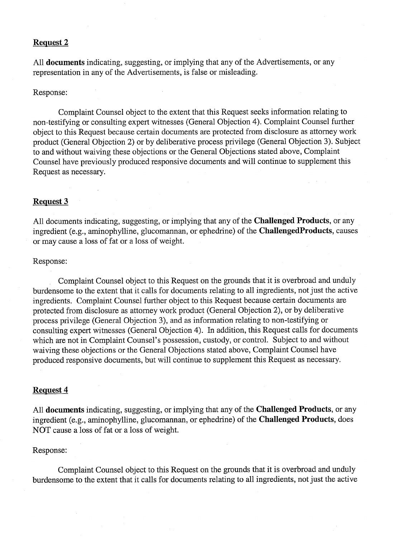#### Request **2**

All documents indicating, suggesting, or implying that any of the Advertisements, or any representation in any of the Advertisements, is false or misleading.

# Response:

Complaint Counsel object to the extent that this Request seeks information relating to non-testifying or consulting expert witnesses (General Objection 4). Complaint Counsel further object to this Request because certain documents are protected from disclosure as attorney work product (General Objection 2) or by deliberative process privilege (General Objection 3). Subject to and without waiving these objections or the General Objections stated above, Complaint Counsel have previously produced responsive documents and will continue to supplement this Request as necessary.

# Request **3**

All documents indicating, suggesting, or implying that any of the Challenged Products, or any ingredient (e.g., aminophylline, glucomannan, or ephedrine) of the ChallengedProducts, causes or may cause a loss of fat or a loss of weight.

# Response:

Complaint Counsel object to this Request on the grounds that it is overbroad and unduly burdensome to the extent that it calls for documents relating to all ingredients, not just the active ingredients. Complaint Counsel further object to this Request because certain documents are protected from disclosure as attorney work product (General Objection 2), or by deliberative process privilege (General Objection 3), and as information relating to non-testifying or consulting expert witnesses (General Objection 4). In addition, this Request calls for documents which are not in Complaint Counsel's possession, custody, or control. Subject to and without waiving these objections or the General Objections stated above, Complaint Counsel have produced responsive documents, but will continue to supplement this Request as necessary.

#### Request 4

All **documents** indicating, suggesting, or implying that any of the **Challenged Products**, or any ingredient (e.g., aminophylline, glucomannan, or ephedrine) of the Challenged Products, does NOT cause a loss of fat or a loss of weight.

# Response:

Complaint Counsel object to this Request on the grounds that it is overbroad and unduly burdensome to the extent that it calls for documents relating to all ingredients, not just the active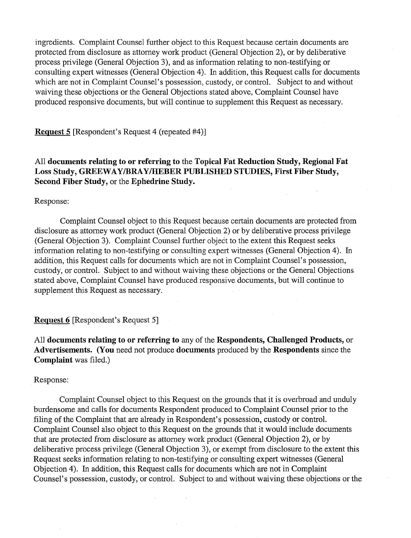ingredients. Complaint Counsel further object to this Request because certain documents are protected from disclosure as attorney work product (General Objection 2), or by deliberative process privilege (General Objection 3), and as information relating to non-testifying or consulting expert witnesses (General Objection 4). In addition, this Request calls for documents which are not in Complaint Counsel's possession, custody, or control. Subject to and without waiving these objections or the General Objections stated above, Complaint Counsel have produced responsive documents, but will continue to supplement this Request as necessary.

**Request 5** [Respondent's Request 4 (repeated #4)]

All **documents relating to or referring to** the **Topical Fat Reduction Study, Regional Fat Loss Study, GREEWAYBRAYIHEBER PUBLISHED STUDIES, First Fiber Study, Second Fiber Study,** or the **Ephedrine Study.** 

Response:

Complaint Counsel object to this Request because certain documents are protected from disclosure as attorney work product (General Objection 2) or by deliberative process privilege (General Objection 3). Complaint Counsel further object to the extent this Request seeks information relating to non-testifying or consulting expert witnesses (General Objection 4). In addition, this Request calls for documents which are not in Complaint Counsel's possession, custody, or control. Subject to and without waiving these objections or the General Objections stated above, Complaint Counsel have produced responsive documents, but will continue to supplement this Request as necessary.

**Request 6 [Respondent's Request 5]** 

All **documents relating to or referring to** any of the **Respondents, Challenged Products,** or **Advertisements. (You** need not produce **documents** produced by the **Respondents** since the **Complaint** was filed.)

Response:

Complaint Counsel object to this Request on the grounds that it is overbroad and unduly burdensome and calls for documents Respondent produced to Complaint Counsel prior to the filing of the Complaint that are already in Respondent's possession, custody or control. Complaint Counsel also object to ths Request on the grounds that it would include documents that are protected from disclosure as attorney work product (General Objection 2), or by deliberative process privilege (General Objection 3), or exempt from disclosure to the extent this Request seeks information relating to non-testifying or consulting expert witnesses (General Objection 4). In addition, this Request calls for documents which are not in Complaint Counsel's possession, custody, or control. Subject to and without waiving these objections or the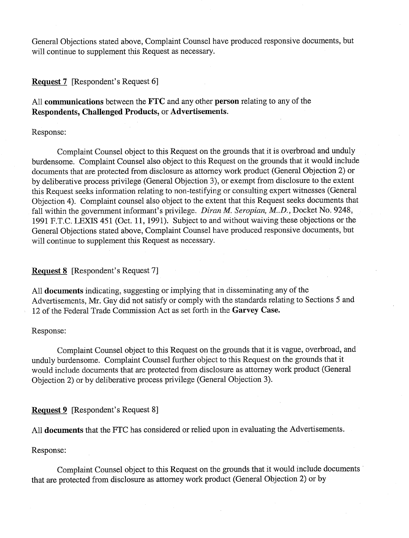General Objections stated above, Complaint Counsel have produced responsive documents, but will continue to supplement this Request as necessary.

**Request 7** [Respondent's Request 6]

All **communications** between the **FTC** and any other **person** relating to any of the **Respondents, Challenged Products,** or **Advertisements.** 

Response:

Complaint Counsel object to this Request on the grounds that it is overbroad and unduly burdensome. Complaint Counsel also object to this Request on the grounds that it would include documents that are protected from disclosure as attorney work product (General Objection 2) or by deliberative process privilege (General Objection 3), or exempt from disclosure to the extent this Request seeks information relating to non-testifying or consulting expert witnesses (General Objection 4). Complaint counsel also object to the extent that this Request seeks documents that fall within the government informant's privilege. *Diran M. Seropian, M..D.*, Docket No. 9248, 1991 F.T.C. LEXIS 451 (Oct. 11, 1991). Subject to and without waiving these objections or the General Objections stated above, Complaint Counsel have produced responsive documents, bat will continue to supplement this Request as necessary.

# **Request 8** [Respondent's Request 71

All **documents** indicating, suggesting or implying that in disseminating any of the Advertisements, Mr. Gay did not satisfy or comply with the standards relating to Sections 5 and 12 of the Federal Trade Commission Act as set forth in the **Garvey Case.** 

# Response:

Complaint Counsel object to this Request on the grounds that it is vague, overbroad, and unduly burdensome. Complaint Counsel further object to this Request on the grounds that it would include documents that are protected from disclosure as attorney work product (General Objection 2) or by deliberative process privilege (General Objection 3).

**Request 9** [Respondent's Request 8]

All **documents** that the FTC has considered or relied upon in evaluating the Advertisements.

Response:

Complaint Counsel object to this Request on the grounds that it would include documents ' that are protected from disclosure as attorney work product (General Objection 2) or by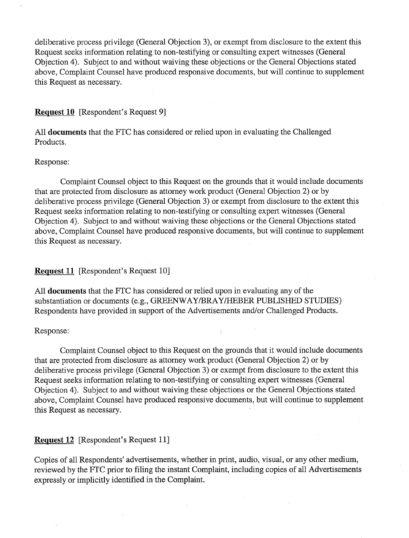deliberative process privilege (General Objection 3), or exempt from disclosure to the extent this Request seeks information relating to non-testifying or consulting expert witnesses (General Objection 4). Subject to and without waiving these objections or the General Objections stated above, Complaint Counsel have produced responsive documents, but will continue to supplement this Request as necessary.

# **Request 10** [Respondent's Request 91

All **documents** that the FTC has considered or relied upon in evaluating the Challenged Products.

### Response:

Complaint Counsel object to this Request on the grounds that it would include documents that are protected from disclosure as attorney work product (General Objection 2) or by deliberative process privilege (General Objection 3) or exempt from disclosure to the extent this Request seeks information relating to non-testifying or consulting expert witnesses (General Objection 4). Subject to and without waiving these objections or the General Objections stated above, Complaint Counsel have produced responsive documents, but will continue to supplement this Request as necessary.

# **Request 11** [Respondent's Request 10]

All **documents** that the FTC has considered or relied upon in evaluating any of the substantiation or documents (e.g., GREENWAY/BRAY/HEBER PUBLISHED STUDIES) Respondents have provided in support of the Advertisements and/or Challenged Products.

# Response:

Complaint Counsel object to this Request on the grounds that it would include documents that are protected from disclosure as attorney work product (General Objection 2) or by deliberative process privilege (General Objection 3) or exempt from disclosure to the extent this Request seeks information relating to non-testifying or consulting expert witnesses (General Objection 4). Subject to and without waiving these objections or the General Objections stated above, Complaint Counsel have produced responsive documents, but will continue to supplement this Request as necessary.

# **Request 12** [Respondent's Request 111

Copies of all Respondents' advertisements, whether in print, audio, visual, or any other medium, reviewed by the FTC prior to filing the instant Complaint, including copies of all Advertisements expressly or implicitly identified in the Complaint.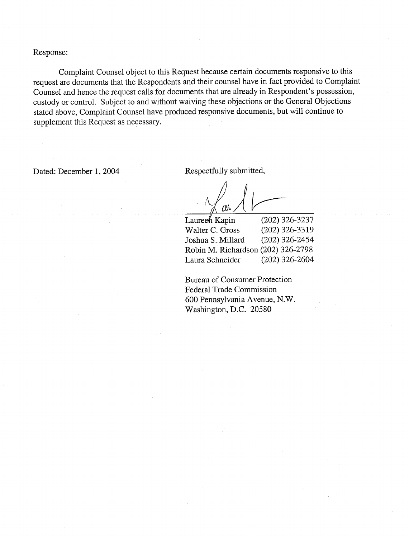Response:

Complaint Counsel object to this Request because certain documents responsive to this request are documents that the Respondents and their counsel have in fact provided to Complaint Counsel and hence the request calls for documents that are already in Respondent's possession, custody or control. Subject to and without waiving these objections or the General Objections stated above, Complaint Counsel have produced responsive documents, but will continue to supplement this Request as necessary.

Dated: December 1, 2004 Respectfully submitted,

**Laureen** Kapin (202) 326-3237 Walter C. Gross (202) 326-33 19 Joshua S. Millard (202) 326-2454 Robin M. Richardson (202) 326-2798 Laura Schneider (202) 326-2604

Bureau of Consumer Protection Federal Trade Commission 600 Pennsylvania Avenue, N.W. Washington, D.C. 20580